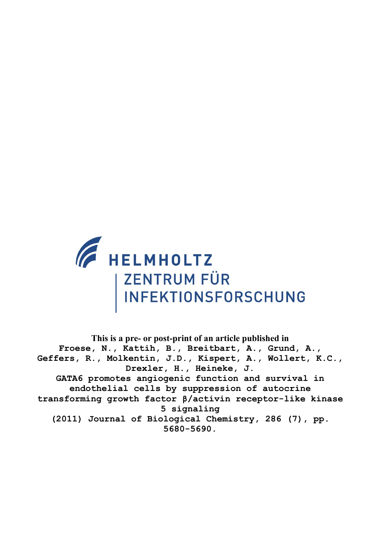

**This is a pre- or post-print of an article published in Froese, N., Kattih, B., Breitbart, A., Grund, A., Geffers, R., Molkentin, J.D., Kispert, A., Wollert, K.C., Drexler, H., Heineke, J. GATA6 promotes angiogenic function and survival in endothelial cells by suppression of autocrine transforming growth factor β/activin receptor-like kinase 5 signaling (2011) Journal of Biological Chemistry, 286 (7), pp. 5680-5690.**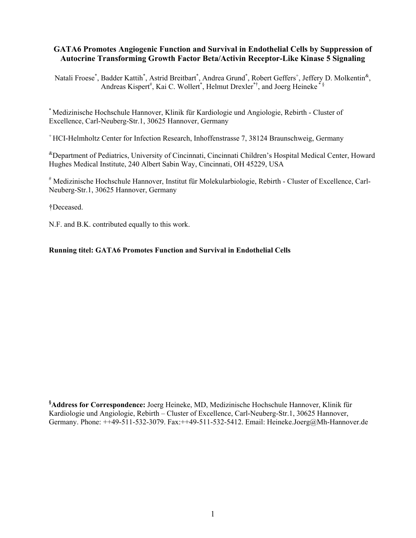# **GATA6 Promotes Angiogenic Function and Survival in Endothelial Cells by Suppression of Autocrine Transforming Growth Factor Beta/Activin Receptor-Like Kinase 5 Signaling**

Natali Froese<sup>\*</sup>, Badder Kattih<sup>\*</sup>, Astrid Breitbart<sup>\*</sup>, Andrea Grund<sup>\*</sup>, Robert Geffers<sup>+</sup>, Jeffery D. Molkentin<sup>&</sup>, Andreas Kispert<sup>#</sup>, Kai C. Wollert<sup>\*</sup>, Helmut Drexler<sup>\*†</sup>, and Joerg Heineke<sup>\*§</sup>

\* Medizinische Hochschule Hannover, Klinik für Kardiologie und Angiologie, Rebirth - Cluster of Excellence, Carl-Neuberg-Str.1, 30625 Hannover, Germany

+ HCI-Helmholtz Center for Infection Research, Inhoffenstrasse 7, 38124 Braunschweig, Germany

&Department of Pediatrics, University of Cincinnati, Cincinnati Children's Hospital Medical Center, Howard Hughes Medical Institute, 240 Albert Sabin Way, Cincinnati, OH 45229, USA

# Medizinische Hochschule Hannover, Institut für Molekularbiologie, Rebirth - Cluster of Excellence, Carl-Neuberg-Str.1, 30625 Hannover, Germany

†Deceased.

N.F. and B.K. contributed equally to this work.

### **Running titel: GATA6 Promotes Function and Survival in Endothelial Cells**

**§ Address for Correspondence:** Joerg Heineke, MD, Medizinische Hochschule Hannover, Klinik für Kardiologie und Angiologie, Rebirth – Cluster of Excellence, Carl-Neuberg-Str.1, 30625 Hannover, Germany. Phone: ++49-511-532-3079. Fax:++49-511-532-5412. Email: Heineke.Joerg@Mh-Hannover.de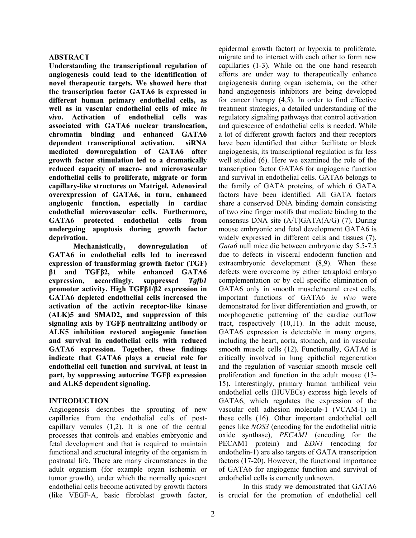#### **ABSTRACT**

**Understanding the transcriptional regulation of angiogenesis could lead to the identification of novel therapeutic targets. We showed here that the transcription factor GATA6 is expressed in different human primary endothelial cells, as well as in vascular endothelial cells of mice** *in vivo***. Activation of endothelial cells was associated with GATA6 nuclear translocation, chromatin binding and enhanced GATA6 dependent transcriptional activation. siRNA mediated downregulation of GATA6 after growth factor stimulation led to a dramatically reduced capacity of macro- and microvascular endothelial cells to proliferate, migrate or form capillary-like structures on Matrigel. Adenoviral overexpression of GATA6, in turn, enhanced angiogenic function, especially in cardiac endothelial microvascular cells. Furthermore, GATA6 protected endothelial cells from undergoing apoptosis during growth factor deprivation.** 

**Mechanistically, downregulation of GATA6 in endothelial cells led to increased expression of transforming growth factor (TGF) β1 and TGFβ2, while enhanced GATA6 expression, accordingly, suppressed** *Tgfb1* **promoter activity. High TGFβ1/β2 expression in GATA6 depleted endothelial cells increased the activation of the activin receptor-like kinase (ALK)5 and SMAD2, and suppression of this signaling axis by TGFβ neutralizing antibody or ALK5 inhibition restored angiogenic function and survival in endothelial cells with reduced GATA6 expression. Together, these findings indicate that GATA6 plays a crucial role for endothelial cell function and survival, at least in part, by suppressing autocrine TGFβ expression and ALK5 dependent signaling.**

#### **INTRODUCTION**

Angiogenesis describes the sprouting of new capillaries from the endothelial cells of postcapillary venules (1,2). It is one of the central processes that controls and enables embryonic and fetal development and that is required to maintain functional and structural integrity of the organism in postnatal life. There are many circumstances in the adult organism (for example organ ischemia or tumor growth), under which the normally quiescent endothelial cells become activated by growth factors (like VEGF-A, basic fibroblast growth factor, epidermal growth factor) or hypoxia to proliferate, migrate and to interact with each other to form new capillaries (1-3). While on the one hand research efforts are under way to therapeutically enhance angiogenesis during organ ischemia, on the other hand angiogenesis inhibitors are being developed for cancer therapy (4,5). In order to find effective treatment strategies, a detailed understanding of the regulatory signaling pathways that control activation and quiescence of endothelial cells is needed. While a lot of different growth factors and their receptors have been identified that either facilitate or block angiogenesis, its transcriptional regulation is far less well studied (6). Here we examined the role of the transcription factor GATA6 for angiogenic function and survival in endothelial cells. GATA6 belongs to the family of GATA proteins, of which 6 GATA factors have been identified. All GATA factors share a conserved DNA binding domain consisting of two zinc finger motifs that mediate binding to the consensus DNA site (A/T)GATA(A/G) (7). During mouse embryonic and fetal development GATA6 is widely expressed in different cells and tissues (7). *Gata6* null mice die between embryonic day 5.5-7.5 due to defects in visceral endoderm function and extraembryonic development (8,9). When these defects were overcome by either tetraploid embryo complementation or by cell specific elimination of GATA6 only in smooth muscle/neural crest cells, important functions of GATA6 *in vivo* were demonstrated for liver differentiation and growth, or morphogenetic patterning of the cardiac outflow tract, respectively (10,11). In the adult mouse, GATA6 expression is detectable in many organs, including the heart, aorta, stomach, and in vascular smooth muscle cells (12). Functionally, GATA6 is critically involved in lung epithelial regeneration and the regulation of vascular smooth muscle cell proliferation and function in the adult mouse (13- 15). Interestingly, primary human umbilical vein endothelial cells (HUVECs) express high levels of GATA6, which regulates the expression of the vascular cell adhesion molecule-1 (VCAM-1) in these cells (16). Other important endothelial cell genes like *NOS3* (encoding for the endothelial nitric oxide synthase), *PECAM1* (encoding for the PECAM1 protein) and *EDN1* (encoding for endothelin-1) are also targets of GATA transcription factors (17-20). However, the functional importance of GATA6 for angiogenic function and survival of endothelial cells is currently unknown.

In this study we demonstrated that GATA6 is crucial for the promotion of endothelial cell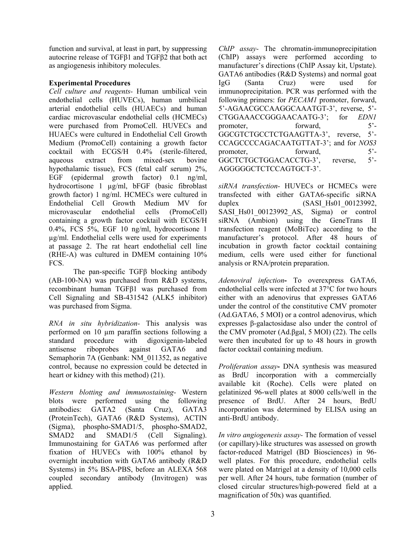function and survival, at least in part, by suppressing autocrine release of TGFβ1 and TGFβ2 that both act as angiogenesis inhibitory molecules.

## **Experimental Procedures**

*Cell culture and reagents-* Human umbilical vein endothelial cells (HUVECs), human umbilical arterial endothelial cells (HUAECs) and human cardiac microvascular endothelial cells (HCMECs) were purchased from PromoCell. HUVECs and HUAECs were cultured in Endothelial Cell Growth Medium (PromoCell) containing a growth factor cocktail with ECGS/H 0.4% (sterile-filtered, aqueous extract from mixed-sex bovine hypothalamic tissue), FCS (fetal calf serum) 2%, EGF (epidermal growth factor) 0.1 ng/ml, hydrocortisone 1 µg/ml, bFGF (basic fibroblast growth factor) 1 ng/ml. HCMECs were cultured in Endothelial Cell Growth Medium MV for microvascular endothelial cells (PromoCell) containing a growth factor cocktail with ECGS/H 0.4%, FCS 5%, EGF 10 ng/ml, hydrocortisone 1 µg/ml. Endothelial cells were used for experiments at passage 2. The rat heart endothelial cell line (RHE-A) was cultured in DMEM containing 10% FCS.

 The pan-specific TGFβ blocking antibody (AB-100-NA) was purchased from R&D systems, recombinant human TGFβ1 was purchased from Cell Signaling and SB-431542 (ALK5 inhibitor) was purchased from Sigma.

*RNA in situ hybridization-* This analysis was performed on 10 µm paraffin sections following a standard procedure with digoxigenin-labeled antisense riboprobes against GATA6 and Semaphorin 7A (Genbank: NM\_011352, as negative control, because no expression could be detected in heart or kidney with this method) (21).

*Western blotting and immunostaining-* Western blots were performed using the following antibodies: GATA2 (Santa Cruz), GATA3 (ProteinTech), GATA6 (R&D Systems), ACTIN (Sigma), phospho-SMAD1/5, phospho-SMAD2, SMAD2 and SMAD1/5 (Cell Signaling). Immunostaining for GATA6 was performed after fixation of HUVECs with 100% ethanol by overnight incubation with GATA6 antibody (R&D Systems) in 5% BSA-PBS, before an ALEXA 568 coupled secondary antibody (Invitrogen) was applied.

*ChIP assay-* The chromatin-immunoprecipitation (ChIP) assays were performed according to manufacturer's directions (ChIP Assay kit, Upstate). GATA6 antibodies (R&D Systems) and normal goat IgG (Santa Cruz) were used for immunoprecipitation. PCR was performed with the following primers: for *PECAM1* promoter, forward, 5'-AGAACGCCAAGGCAAATGT-3', reverse, 5'- CTGGAAACCGGGAACAATG-3'; for *EDN1* promoter, forward, 5<sup>'</sup>-GGCGTCTGCCTCTGAAGTTA-3', reverse, 5'- CCAGCCCCAGACAATGTTAT-3'; and for *NOS3* promoter, forward, 5'-GGCTCTGCTGGACACCTG-3', reverse, 5'- AGGGGGCTCTCCAGTGCT-3'.

*siRNA transfection-* HUVECs or HCMECs were transfected with either GATA6-specific siRNA duplex (SASI Hs01\_00123992, SASI Hs01 00123992 AS, Sigma) or control siRNA (Ambion) using the GeneTrans II transfection reagent (MoBiTec) according to the manufacturer's protocol. After 48 hours of incubation in growth factor cocktail containing medium, cells were used either for functional analysis or RNA/protein preparation.

*Adenoviral infection***-** To overexpress GATA6, endothelial cells were infected at 37°C for two hours either with an adenovirus that expresses GATA6 under the control of the constitutive CMV promoter (Ad.GATA6, 5 MOI) or a control adenovirus, which expresses β-galactosidase also under the control of the CMV promoter (Ad.βgal, 5 MOI) (22). The cells were then incubated for up to 48 hours in growth factor cocktail containing medium.

*Proliferation assay***-** DNA synthesis was measured as BrdU incorporation with a commercially available kit (Roche). Cells were plated on gelatinized 96-well plates at 8000 cells/well in the presence of BrdU. After 24 hours, BrdU incorporation was determined by ELISA using an anti-BrdU antibody.

*In vitro angiogenesis assay-* The formation of vessel (or capillary)-like structures was assessed on growth factor-reduced Matrigel (BD Biosciences) in 96 well plates. For this procedure, endothelial cells were plated on Matrigel at a density of 10,000 cells per well. After 24 hours, tube formation (number of closed circular structures/high-powered field at a magnification of 50x) was quantified.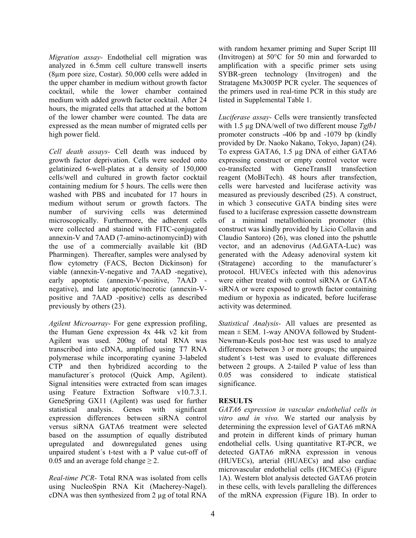*Migration assay-* Endothelial cell migration was analyzed in 6.5mm cell culture transwell inserts (8µm pore size, Costar). 50,000 cells were added in the upper chamber in medium without growth factor cocktail, while the lower chamber contained medium with added growth factor cocktail. After 24 hours, the migrated cells that attached at the bottom of the lower chamber were counted. The data are expressed as the mean number of migrated cells per high power field.

*Cell death assays-* Cell death was induced by growth factor deprivation. Cells were seeded onto gelatinized 6-well-plates at a density of 150,000 cells/well and cultured in growth factor cocktail containing medium for 5 hours. The cells were then washed with PBS and incubated for 17 hours in medium without serum or growth factors. The number of surviving cells was determined microscopically. Furthermore, the adherent cells were collected and stained with FITC-conjugated annexin-V and 7AAD (7-amino-actinomycinD) with the use of a commercially available kit (BD Pharmingen). Thereafter, samples were analysed by flow cytometry (FACS, Becton Dickinson) for viable (annexin-V-negative and 7AAD -negative), early apoptotic (annexin-V-positive, 7AAD negative), and late apoptotic/necrotic (annexin-Vpositive and 7AAD -positive) cells as described previously by others (23).

*Agilent Microarray-* For gene expression profiling, the Human Gene expression 4x 44k v2 kit from Agilent was used. 200ng of total RNA was transcribed into cDNA, amplified using T7 RNA polymerase while incorporating cyanine 3-labeled CTP and then hybridized according to the manufacturer´s protocol (Quick Amp, Agilent). Signal intensities were extracted from scan images using Feature Extraction Software v10.7.3.1. GeneSpring GX11 (Agilent) was used for further statistical analysis. Genes with significant expression differences between siRNA control versus siRNA GATA6 treatment were selected based on the assumption of equally distributed upregulated and downregulated genes using unpaired student´s t-test with a P value cut-off of 0.05 and an average fold change  $\geq$  2.

*Real-time PCR-* Total RNA was isolated from cells using NucleoSpin RNA Kit (Macherey-Nagel). cDNA was then synthesized from 2 µg of total RNA

with random hexamer priming and Super Script III (Invitrogen) at 50°C for 50 min and forwarded to amplification with a specific primer sets using SYBR-green technology (Invitrogen) and the Stratagene Mx3005P PCR cycler. The sequences of the primers used in real-time PCR in this study are listed in Supplemental Table 1.

*Luciferase assay-* Cells were transiently transfected with 1.5 µg DNA/well of two different mouse *Tgfb1* promoter constructs -406 bp and -1079 bp (kindly provided by Dr. Naoko Nakano, Tokyo, Japan) (24). To express GATA6, 1.5 µg DNA of either GATA6 expressing construct or empty control vector were co-transfected with GeneTransII transfection reagent (MoBiTech). 48 hours after transfection, cells were harvested and luciferase activity was measured as previously described (25). A construct, in which 3 consecutive GATA binding sites were fused to a luciferase expression cassette downstream of a minimal metallothionein promoter (this construct was kindly provided by Licio Collavin and Claudio Santoro) (26), was cloned into the pshuttle vector, and an adenovirus (Ad.GATA-Luc) was generated with the Adeasy adenoviral system kit (Stratagene) according to the manufacturer´s protocol. HUVECs infected with this adenovirus were either treated with control siRNA or GATA6 siRNA or were exposed to growth factor containing medium or hypoxia as indicated, before luciferase activity was determined.

*Statistical Analysis-* All values are presented as mean  $\pm$  SEM. 1-way ANOVA followed by Student-Newman-Keuls post-hoc test was used to analyze differences between 3 or more groups; the unpaired student´s t-test was used to evaluate differences between 2 groups. A 2-tailed P value of less than 0.05 was considered to indicate statistical significance.

#### **RESULTS**

*GATA6 expression in vascular endothelial cells in vitro and in vivo.* We started our analysis by determining the expression level of GATA6 mRNA and protein in different kinds of primary human endothelial cells. Using quantitative RT-PCR, we detected GATA6 mRNA expression in venous (HUVECs), arterial (HUAECs) and also cardiac microvascular endothelial cells (HCMECs) (Figure 1A). Western blot analysis detected GATA6 protein in these cells, with levels paralleling the differences of the mRNA expression (Figure 1B). In order to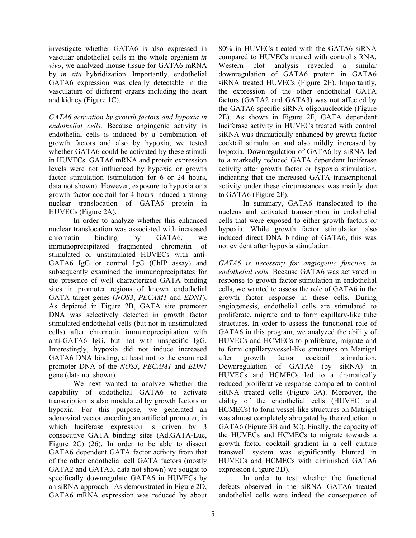investigate whether GATA6 is also expressed in vascular endothelial cells in the whole organism *in vivo*, we analyzed mouse tissue for GATA6 mRNA by *in situ* hybridization. Importantly, endothelial GATA6 expression was clearly detectable in the vasculature of different organs including the heart and kidney (Figure 1C).

*GATA6 activation by growth factors and hypoxia in endothelial cells.* Because angiogenic activity in endothelial cells is induced by a combination of growth factors and also by hypoxia, we tested whether GATA6 could be activated by these stimuli in HUVECs. GATA6 mRNA and protein expression levels were not influenced by hypoxia or growth factor stimulation (stimulation for 6 or 24 hours, data not shown). However, exposure to hypoxia or a growth factor cocktail for 4 hours induced a strong nuclear translocation of GATA6 protein in HUVECs (Figure 2A).

 In order to analyze whether this enhanced nuclear translocation was associated with increased chromatin binding by GATA6, we immunoprecipitated fragmented chromatin of stimulated or unstimulated HUVECs with anti-GATA6 IgG or control IgG (ChIP assay) and subsequently examined the immunoprecipitates for the presence of well characterized GATA binding sites in promoter regions of known endothelial GATA target genes (*NOS3*, *PECAM1* and *EDN1*). As depicted in Figure 2B, GATA site promoter DNA was selectively detected in growth factor stimulated endothelial cells (but not in unstimulated cells) after chromatin immunoprecipitation with anti-GATA6 IgG, but not with unspecific IgG. Interestingly, hypoxia did not induce increased GATA6 DNA binding, at least not to the examined promoter DNA of the *NOS3*, *PECAM1* and *EDN1* gene (data not shown).

 We next wanted to analyze whether the capability of endothelial GATA6 to activate transcription is also modulated by growth factors or hypoxia. For this purpose, we generated an adenoviral vector encoding an artificial promoter, in which luciferase expression is driven by 3 consecutive GATA binding sites (Ad.GATA-Luc, Figure 2C) (26). In order to be able to dissect GATA6 dependent GATA factor activity from that of the other endothelial cell GATA factors (mostly GATA2 and GATA3, data not shown) we sought to specifically downregulate GATA6 in HUVECs by an siRNA approach. As demonstrated in Figure 2D, GATA6 mRNA expression was reduced by about

80% in HUVECs treated with the GATA6 siRNA compared to HUVECs treated with control siRNA. Western blot analysis revealed a similar downregulation of GATA6 protein in GATA6 siRNA treated HUVECs (Figure 2E). Importantly, the expression of the other endothelial GATA factors (GATA2 and GATA3) was not affected by the GATA6 specific siRNA oligonucleotide (Figure 2E). As shown in Figure 2F, GATA dependent luciferase activity in HUVECs treated with control siRNA was dramatically enhanced by growth factor cocktail stimulation and also mildly increased by hypoxia. Downregulation of GATA6 by siRNA led to a markedly reduced GATA dependent luciferase activity after growth factor or hypoxia stimulation, indicating that the increased GATA transcriptional activity under these circumstances was mainly due to GATA6 (Figure 2F).

 In summary, GATA6 translocated to the nucleus and activated transcription in endothelial cells that were exposed to either growth factors or hypoxia. While growth factor stimulation also induced direct DNA binding of GATA6, this was not evident after hypoxia stimulation.

*GATA6 is necessary for angiogenic function in endothelial cells.* Because GATA6 was activated in response to growth factor stimulation in endothelial cells, we wanted to assess the role of GATA6 in the growth factor response in these cells. During angiogenesis, endothelial cells are stimulated to proliferate, migrate and to form capillary-like tube structures. In order to assess the functional role of GATA6 in this program, we analyzed the ability of HUVECs and HCMECs to proliferate, migrate and to form capillary/vessel-like structures on Matrigel after growth factor cocktail stimulation. Downregulation of GATA6 (by siRNA) in HUVECs and HCMECs led to a dramatically reduced proliferative response compared to control siRNA treated cells (Figure 3A). Moreover, the ability of the endothelial cells (HUVEC and HCMECs) to form vessel-like structures on Matrigel was almost completely abrogated by the reduction in GATA6 (Figure 3B and 3C). Finally, the capacity of the HUVECs and HCMECs to migrate towards a growth factor cocktail gradient in a cell culture transwell system was significantly blunted in HUVECs and HCMECs with diminished GATA6 expression (Figure 3D).

 In order to test whether the functional defects observed in the siRNA GATA6 treated endothelial cells were indeed the consequence of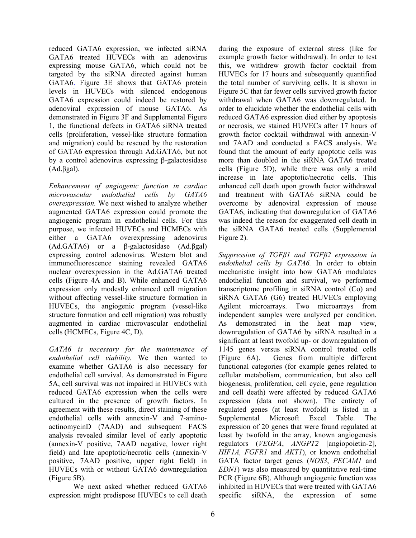reduced GATA6 expression, we infected siRNA GATA6 treated HUVECs with an adenovirus expressing mouse GATA6, which could not be targeted by the siRNA directed against human GATA6. Figure 3E shows that GATA6 protein levels in HUVECs with silenced endogenous GATA6 expression could indeed be restored by adenoviral expression of mouse GATA6. As demonstrated in Figure 3F and Supplemental Figure 1, the functional defects in GATA6 siRNA treated cells (proliferation, vessel-like structure formation and migration) could be rescued by the restoration of GATA6 expression through Ad.GATA6, but not by a control adenovirus expressing β-galactosidase (Ad.βgal).

*Enhancement of angiogenic function in cardiac microvascular endothelial cells by GATA6 overexpression.* We next wished to analyze whether augmented GATA6 expression could promote the angiogenic program in endothelial cells. For this purpose, we infected HUVECs and HCMECs with either a GATA6 overexpressing adenovirus (Ad.GATA6) or a β-galactosidase (Ad.βgal) expressing control adenovirus. Western blot and immunofluorescence staining revealed GATA6 nuclear overexpression in the Ad.GATA6 treated cells (Figure 4A and B). While enhanced GATA6 expression only modestly enhanced cell migration without affecting vessel-like structure formation in HUVECs, the angiogenic program (vessel-like structure formation and cell migration) was robustly augmented in cardiac microvascular endothelial cells (HCMECs, Figure 4C, D).

*GATA6 is necessary for the maintenance of endothelial cell viability.* We then wanted to examine whether GATA6 is also necessary for endothelial cell survival. As demonstrated in Figure 5A, cell survival was not impaired in HUVECs with reduced GATA6 expression when the cells were cultured in the presence of growth factors. In agreement with these results, direct staining of these endothelial cells with annexin-V and 7-aminoactinomycinD (7AAD) and subsequent FACS analysis revealed similar level of early apoptotic (annexin-V positive, 7AAD negative, lower right field) and late apoptotic/necrotic cells (annexin-V positive, 7AAD positive, upper right field) in HUVECs with or without GATA6 downregulation (Figure 5B).

 We next asked whether reduced GATA6 expression might predispose HUVECs to cell death during the exposure of external stress (like for example growth factor withdrawal). In order to test this, we withdrew growth factor cocktail from HUVECs for 17 hours and subsequently quantified the total number of surviving cells. It is shown in Figure 5C that far fewer cells survived growth factor withdrawal when GATA6 was downregulated. In order to elucidate whether the endothelial cells with reduced GATA6 expression died either by apoptosis or necrosis, we stained HUVECs after 17 hours of growth factor cocktail withdrawal with annexin-V and 7AAD and conducted a FACS analysis. We found that the amount of early apoptotic cells was more than doubled in the siRNA GATA6 treated cells (Figure 5D), while there was only a mild increase in late apoptotic/necrotic cells. This enhanced cell death upon growth factor withdrawal and treatment with GATA6 siRNA could be overcome by adenoviral expression of mouse GATA6, indicating that downregulation of GATA6 was indeed the reason for exaggerated cell death in the siRNA GATA6 treated cells (Supplemental Figure 2).

*Suppression of TGFβ1 and TGFβ2 expression in endothelial cells by GATA6.* In order to obtain mechanistic insight into how GATA6 modulates endothelial function and survival, we performed transcriptome profiling in siRNA control (Co) and siRNA GATA6 (G6) treated HUVECs employing Agilent microarrays. Two microarrays from independent samples were analyzed per condition. As demonstrated in the heat map view, downregulation of GATA6 by siRNA resulted in a significant at least twofold up- or downregulation of 1145 genes versus siRNA control treated cells (Figure 6A). Genes from multiple different functional categories (for example genes related to cellular metabolism, communication, but also cell biogenesis, proliferation, cell cycle, gene regulation and cell death) were affected by reduced GATA6 expression (data not shown). The entirety of regulated genes (at least twofold) is listed in a Supplemental Microsoft Excel Table. The expression of 20 genes that were found regulated at least by twofold in the array, known angiogenesis regulators (*VEGFA*, *ANGPT2* [angiopoietin-2], *HIF1A, FGFR1* and *AKT1*), or known endothelial GATA factor target genes (*NOS3*, *PECAM1* and *EDN1*) was also measured by quantitative real-time PCR (Figure 6B). Although angiogenic function was inhibited in HUVECs that were treated with GATA6 specific siRNA, the expression of some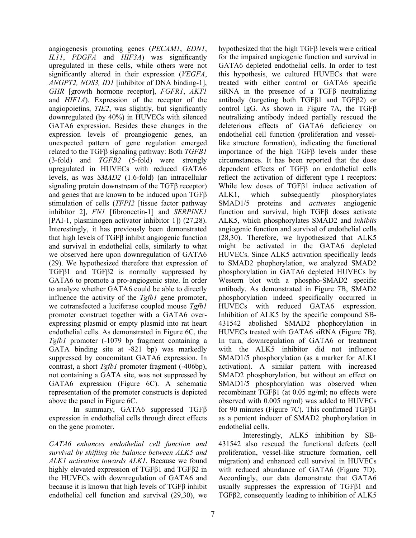angiogenesis promoting genes (*PECAM1*, *EDN1*, *IL11*, *PDGFA* and *HIF3A*) was significantly upregulated in these cells, while others were not significantly altered in their expression (*VEGFA*, *ANGPT2, NOS3, ID1* [inhibitor of DNA binding-1], *GHR* [growth hormone receptor], *FGFR1*, *AKT1* and *HIF1A*). Expression of the receptor of the angiopoietins, *TIE2*, was slightly, but significantly downregulated (by 40%) in HUVECs with silenced GATA6 expression. Besides these changes in the expression levels of proangiogenic genes, an unexpected pattern of gene regulation emerged related to the TGFβ signaling pathway: Both *TGFB1* (3-fold) and *TGFB2* (5-fold) were strongly upregulated in HUVECs with reduced GATA6 levels, as was *SMAD2* (1.6-fold) (an intracellular signaling protein downstream of the TGFβ receptor) and genes that are known to be induced upon TGFβ stimulation of cells (*TFPI2* [tissue factor pathway inhibitor 2], *FN1* [fibronectin-1] and *SERPINE1* [PAI-1, plasminogen activator inhibitor 1]) (27,28). Interestingly, it has previously been demonstrated that high levels of TGFβ inhibit angiogenic function and survival in endothelial cells, similarly to what we observed here upon downregulation of GATA6 (29). We hypothesized therefore that expression of TGFβ1 and TGFβ2 is normally suppressed by GATA6 to promote a pro-angiogenic state. In order to analyze whether GATA6 could be able to directly influence the activity of the *Tgfb1* gene promoter, we cotransfected a luciferase coupled mouse *Tgfb1* promoter construct together with a GATA6 overexpressing plasmid or empty plasmid into rat heart endothelial cells. As demonstrated in Figure 6C, the *Tgfb1* promoter (-1079 bp fragment containing a GATA binding site at -821 bp) was markedly suppressed by concomitant GATA6 expression. In contrast, a short *Tgfb1* promoter fragment (-406bp), not containing a GATA site, was not suppressed by GATA6 expression (Figure 6C). A schematic representation of the promoter constructs is depicted above the panel in Figure 6C.

 In summary, GATA6 suppressed TGFβ expression in endothelial cells through direct effects on the gene promoter.

*GATA6 enhances endothelial cell function and survival by shifting the balance between ALK5 and ALK1 activation towards ALK1.* Because we found highly elevated expression of TGFβ1 and TGFβ2 in the HUVECs with downregulation of GATA6 and because it is known that high levels of TGFβ inhibit endothelial cell function and survival (29,30), we hypothesized that the high TGFβ levels were critical for the impaired angiogenic function and survival in GATA6 depleted endothelial cells. In order to test this hypothesis, we cultured HUVECs that were treated with either control or GATA6 specific siRNA in the presence of a TGFβ neutralizing antibody (targeting both TGFβ1 and TGFβ2) or control IgG. As shown in Figure 7A, the TGFβ neutralizing antibody indeed partially rescued the deleterious effects of GATA6 deficiency on endothelial cell function (proliferation and vessellike structure formation), indicating the functional importance of the high TGFβ levels under these circumstances. It has been reported that the dose dependent effects of TGFβ on endothelial cells reflect the activation of different type I receptors: While low doses of TGFβ1 induce activation of ALK1, which subsequently phosphorylates SMAD1/5 proteins and *activates* angiogenic function and survival, high TGFβ doses activate ALK5, which phosphorylates SMAD2 and *inhibits* angiogenic function and survival of endothelial cells (28,30). Therefore, we hypothesized that ALK5 might be activated in the GATA6 depleted HUVECs. Since ALK5 activation specifically leads to SMAD2 phophorylation, we analyzed SMAD2 phosphorylation in GATA6 depleted HUVECs by Western blot with a phospho-SMAD2 specific antibody. As demonstrated in Figure 7B, SMAD2 phosphorylation indeed specifically occurred in HUVECs with reduced GATA6 expression. Inhibition of ALK5 by the specific compound SB-431542 abolished SMAD2 phophorylation in HUVECs treated with GATA6 siRNA (Figure 7B). In turn, downregulation of GATA6 or treatment with the ALK5 inhibitor did not influence SMAD1/5 phosphorylation (as a marker for ALK1 activation). A similar pattern with increased SMAD2 phosphorylation, but without an effect on SMAD1/5 phosphorylation was observed when recombinant TGFβ1 (at 0.05 ng/ml; no effects were observed with 0.005 ng/ml) was added to HUVECs for 90 minutes (Figure 7C). This confirmed TGFβ1 as a pontent inducer of SMAD2 phophorylation in endothelial cells.

 Interestingly, ALK5 inhibition by SB-431542 also rescued the functional defects (cell proliferation, vessel-like structure formation, cell migration) and enhanced cell survival in HUVECs with reduced abundance of GATA6 (Figure 7D). Accordingly, our data demonstrate that GATA6 usually suppresses the expression of TGFβ1 and TGFβ2, consequently leading to inhibition of ALK5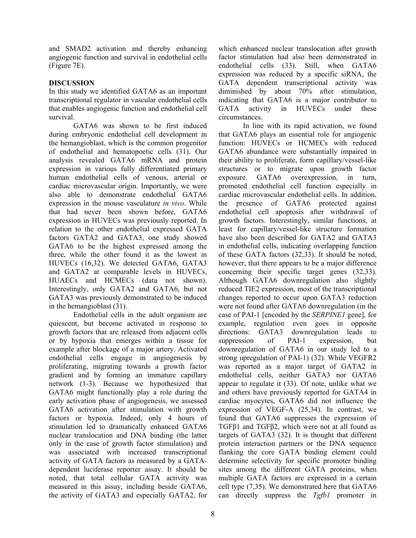and SMAD2 activation and thereby enhancing angiogenic function and survival in endothelial cells (Figure 7E).

#### **DISCUSSION**

In this study we identified GATA6 as an important transcriptional regulator in vascular endothelial cells that enables angiogenic function and endothelial cell survival.

 GATA6 was shown to be first induced during embryonic endothelial cell development in the hemangioblast, which is the common progenitor of endothelial and hematopoetic cells (31). Our analysis revealed GATA6 mRNA and protein expression in various fully differentiated primary human endothelial cells of venous, arterial or cardiac microvascular origin. Importantly, we were also able to demonstrate endothelial GATA6 expression in the mouse vasculature *in vivo*. While that had never been shown before, GATA6 expression in HUVECs was previously reported. In relation to the other endothelial expressed GATA factors GATA2 and GATA3, one study showed GATA6 to be the highest expressed among the three, while the other found it as the lowest in HUVECs (16,32). We detected GATA6, GATA3 and GATA2 at comparable levels in HUVECs, HUAECs and HCMECs (data not shown). Interestingly, only GATA2 and GATA6, but not GATA3 was previously demonstrated to be induced in the hemangioblast (31).

 Endothelial cells in the adult organism are quiescent, but become activated in response to growth factors that are released from adjacent cells or by hypoxia that emerges within a tissue for example after blockage of a major artery. Activated endothelial cells engage in angiogenesis by proliferating, migrating towards a growth factor gradient and by forming an immature capillary network (1-3). Because we hypothesized that GATA6 might functionally play a role during the early activation phase of angiogenesis, we assessed GATA6 activation after stimulation with growth factors or hypoxia. Indeed, only 4 hours of stimulation led to dramatically enhanced GATA6 nuclear translocation and DNA binding (the latter only in the case of growth factor stimulation) and was associated with increased transcriptional activity of GATA factors as measured by a GATAdependent luciferase reporter assay. It should be noted, that total cellular GATA activity was measured in this assay, including beside GATA6, the activity of GATA3 and especially GATA2, for which enhanced nuclear translocation after growth factor stimulation had also been demonstrated in endothelial cells (33). Still, when GATA6 expression was reduced by a specific siRNA, the GATA dependent transcriptional activity was diminished by about 70% after stimulation, indicating that GATA6 is a major contributor to GATA activity in HUVECs under these circumstances.

In line with its rapid activation, we found that GATA6 plays an essential role for angiogenic function: HUVECs or HCMECs with reduced GATA6 abundance were substantially impaired in their ability to proliferate, form capillary/vessel-like structures or to migrate upon growth factor exposure. GATA6 overexpression, in turn, promoted endothelial cell function especially in cardiac microvascular endothelial cells. In addition, the presence of GATA6 protected against endothelial cell apoptosis after withdrawal of growth factors. Interestingly, similar functions, at least for capillary/vessel-like structure formation have also been described for GATA2 and GATA3 in endothelial cells, indicating overlapping function of these GATA factors (32,33). It should be noted, however, that there appears to be a major difference concerning their specific target genes (32,33). Although GATA6 downregulation also slightly reduced TIE2 expression, most of the transcriptional changes reported to occur upon GATA3 reduction were not found after GATA6 downregulation (in the case of PAI-1 [encoded by the *SERPINE1* gene], for example, regulation even goes in opposite directions: GATA3 downregulation leads to suppression of PAI-1 expression, but downregulation of GATA6 in our study led to a strong upregulation of PAI-1) (32). While VEGFR2 was reported as a major target of GATA2 in endothelial cells, neither GATA3 nor GATA6 appear to regulate it (33). Of note, unlike what we and others have previously reported for GATA4 in cardiac myocytes, GATA6 did not influence the expression of VEGF-A (25,34). In contrast, we found that GATA6 suppresses the expression of TGFβ1 and TGFβ2, which were not at all found as targets of GATA3 (32). It is thought that different protein interaction partners or the DNA sequence flanking the core GATA binding element could determine selectivity for specific promoter binding sites among the different GATA proteins, when multiple GATA factors are expressed in a certain cell type (7,35). We demonstrated here that GATA6 can directly suppress the *Tgfb1* promoter in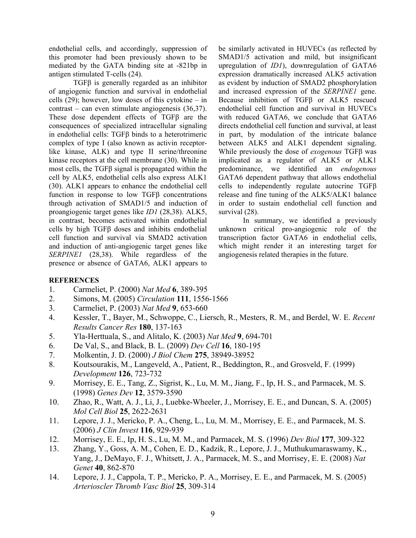endothelial cells, and accordingly, suppression of this promoter had been previously shown to be mediated by the GATA binding site at -821bp in antigen stimulated T-cells (24).

TGFβ is generally regarded as an inhibitor of angiogenic function and survival in endothelial cells (29); however, low doses of this cytokine – in contrast – can even stimulate angiogenesis (36,37). These dose dependent effects of TGFβ are the consequences of specialized intracellular signaling in endothelial cells: TGFβ binds to a heterotrimeric complex of type I (also known as activin receptorlike kinase, ALK) and type II serine/threonine kinase receptors at the cell membrane (30). While in most cells, the TGFβ signal is propagated within the cell by ALK5, endothelial cells also express ALK1 (30). ALK1 appears to enhance the endothelial cell function in response to low TGFβ concentrations through activation of SMAD1/5 and induction of proangiogenic target genes like *ID1* (28,38). ALK5, in contrast, becomes activated within endothelial cells by high TGFβ doses and inhibits endothelial cell function and survival via SMAD2 activation and induction of anti-angiogenic target genes like *SERPINE1* (28,38). While regardless of the presence or absence of GATA6, ALK1 appears to

be similarly activated in HUVECs (as reflected by SMAD1/5 activation and mild, but insignificant upregulation of *ID1*), downregulation of GATA6 expression dramatically increased ALK5 activation as evident by induction of SMAD2 phosphorylation and increased expression of the *SERPINE1* gene. Because inhibition of TGFβ or ALK5 rescued endothelial cell function and survival in HUVECs with reduced GATA6, we conclude that GATA6 directs endothelial cell function and survival, at least in part, by modulation of the intricate balance between ALK5 and ALK1 dependent signaling. While previously the dose of *exogenous* TGFβ was implicated as a regulator of ALK5 or ALK1 predominance, we identified an *endogenous* GATA6 dependent pathway that allows endothelial cells to independently regulate autocrine TGFβ release and fine tuning of the ALK5/ALK1 balance in order to sustain endothelial cell function and survival (28).

In summary, we identified a previously unknown critical pro-angiogenic role of the transcription factor GATA6 in endothelial cells, which might render it an interesting target for angiogenesis related therapies in the future.

#### **REFERENCES**

- 1. Carmeliet, P. (2000) *Nat Med* **6**, 389-395
- 2. Simons, M. (2005) *Circulation* **111**, 1556-1566
- 3. Carmeliet, P. (2003) *Nat Med* **9**, 653-660
- 4. Kessler, T., Bayer, M., Schwoppe, C., Liersch, R., Mesters, R. M., and Berdel, W. E. *Recent Results Cancer Res* **180**, 137-163
- 5. Yla-Herttuala, S., and Alitalo, K. (2003) *Nat Med* **9**, 694-701
- 6. De Val, S., and Black, B. L. (2009) *Dev Cell* **16**, 180-195
- 7. Molkentin, J. D. (2000) *J Biol Chem* **275**, 38949-38952
- 8. Koutsourakis, M., Langeveld, A., Patient, R., Beddington, R., and Grosveld, F. (1999) *Development* **126**, 723-732
- 9. Morrisey, E. E., Tang, Z., Sigrist, K., Lu, M. M., Jiang, F., Ip, H. S., and Parmacek, M. S. (1998) *Genes Dev* **12**, 3579-3590
- 10. Zhao, R., Watt, A. J., Li, J., Luebke-Wheeler, J., Morrisey, E. E., and Duncan, S. A. (2005) *Mol Cell Biol* **25**, 2622-2631
- 11. Lepore, J. J., Mericko, P. A., Cheng, L., Lu, M. M., Morrisey, E. E., and Parmacek, M. S. (2006) *J Clin Invest* **116**, 929-939
- 12. Morrisey, E. E., Ip, H. S., Lu, M. M., and Parmacek, M. S. (1996) *Dev Biol* **177**, 309-322
- 13. Zhang, Y., Goss, A. M., Cohen, E. D., Kadzik, R., Lepore, J. J., Muthukumaraswamy, K., Yang, J., DeMayo, F. J., Whitsett, J. A., Parmacek, M. S., and Morrisey, E. E. (2008) *Nat Genet* **40**, 862-870
- 14. Lepore, J. J., Cappola, T. P., Mericko, P. A., Morrisey, E. E., and Parmacek, M. S. (2005) *Arterioscler Thromb Vasc Biol* **25**, 309-314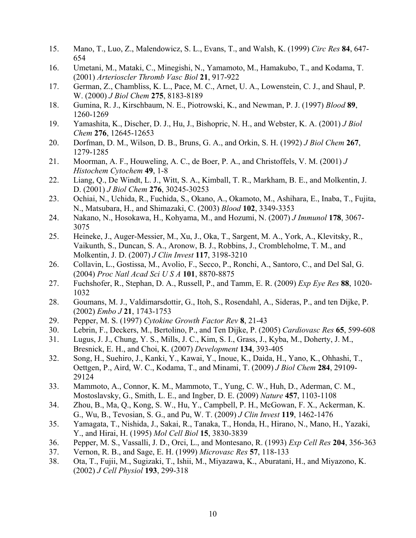- 15. Mano, T., Luo, Z., Malendowicz, S. L., Evans, T., and Walsh, K. (1999) *Circ Res* **84**, 647- 654
- 16. Umetani, M., Mataki, C., Minegishi, N., Yamamoto, M., Hamakubo, T., and Kodama, T. (2001) *Arterioscler Thromb Vasc Biol* **21**, 917-922
- 17. German, Z., Chambliss, K. L., Pace, M. C., Arnet, U. A., Lowenstein, C. J., and Shaul, P. W. (2000) *J Biol Chem* **275**, 8183-8189
- 18. Gumina, R. J., Kirschbaum, N. E., Piotrowski, K., and Newman, P. J. (1997) *Blood* **89**, 1260-1269
- 19. Yamashita, K., Discher, D. J., Hu, J., Bishopric, N. H., and Webster, K. A. (2001) *J Biol Chem* **276**, 12645-12653
- 20. Dorfman, D. M., Wilson, D. B., Bruns, G. A., and Orkin, S. H. (1992) *J Biol Chem* **267**, 1279-1285
- 21. Moorman, A. F., Houweling, A. C., de Boer, P. A., and Christoffels, V. M. (2001) *J Histochem Cytochem* **49**, 1-8
- 22. Liang, Q., De Windt, L. J., Witt, S. A., Kimball, T. R., Markham, B. E., and Molkentin, J. D. (2001) *J Biol Chem* **276**, 30245-30253
- 23. Ochiai, N., Uchida, R., Fuchida, S., Okano, A., Okamoto, M., Ashihara, E., Inaba, T., Fujita, N., Matsubara, H., and Shimazaki, C. (2003) *Blood* **102**, 3349-3353
- 24. Nakano, N., Hosokawa, H., Kohyama, M., and Hozumi, N. (2007) *J Immunol* **178**, 3067- 3075
- 25. Heineke, J., Auger-Messier, M., Xu, J., Oka, T., Sargent, M. A., York, A., Klevitsky, R., Vaikunth, S., Duncan, S. A., Aronow, B. J., Robbins, J., Crombleholme, T. M., and Molkentin, J. D. (2007) *J Clin Invest* **117**, 3198-3210
- 26. Collavin, L., Gostissa, M., Avolio, F., Secco, P., Ronchi, A., Santoro, C., and Del Sal, G. (2004) *Proc Natl Acad Sci U S A* **101**, 8870-8875
- 27. Fuchshofer, R., Stephan, D. A., Russell, P., and Tamm, E. R. (2009) *Exp Eye Res* **88**, 1020- 1032
- 28. Goumans, M. J., Valdimarsdottir, G., Itoh, S., Rosendahl, A., Sideras, P., and ten Dijke, P. (2002) *Embo J* **21**, 1743-1753
- 29. Pepper, M. S. (1997) *Cytokine Growth Factor Rev* **8**, 21-43
- 30. Lebrin, F., Deckers, M., Bertolino, P., and Ten Dijke, P. (2005) *Cardiovasc Res* **65**, 599-608
- 31. Lugus, J. J., Chung, Y. S., Mills, J. C., Kim, S. I., Grass, J., Kyba, M., Doherty, J. M., Bresnick, E. H., and Choi, K. (2007) *Development* **134**, 393-405
- 32. Song, H., Suehiro, J., Kanki, Y., Kawai, Y., Inoue, K., Daida, H., Yano, K., Ohhashi, T., Oettgen, P., Aird, W. C., Kodama, T., and Minami, T. (2009) *J Biol Chem* **284**, 29109- 29124
- 33. Mammoto, A., Connor, K. M., Mammoto, T., Yung, C. W., Huh, D., Aderman, C. M., Mostoslavsky, G., Smith, L. E., and Ingber, D. E. (2009) *Nature* **457**, 1103-1108
- 34. Zhou, B., Ma, Q., Kong, S. W., Hu, Y., Campbell, P. H., McGowan, F. X., Ackerman, K. G., Wu, B., Tevosian, S. G., and Pu, W. T. (2009) *J Clin Invest* **119**, 1462-1476
- 35. Yamagata, T., Nishida, J., Sakai, R., Tanaka, T., Honda, H., Hirano, N., Mano, H., Yazaki, Y., and Hirai, H. (1995) *Mol Cell Biol* **15**, 3830-3839
- 36. Pepper, M. S., Vassalli, J. D., Orci, L., and Montesano, R. (1993) *Exp Cell Res* **204**, 356-363
- 37. Vernon, R. B., and Sage, E. H. (1999) *Microvasc Res* **57**, 118-133
- 38. Ota, T., Fujii, M., Sugizaki, T., Ishii, M., Miyazawa, K., Aburatani, H., and Miyazono, K. (2002) *J Cell Physiol* **193**, 299-318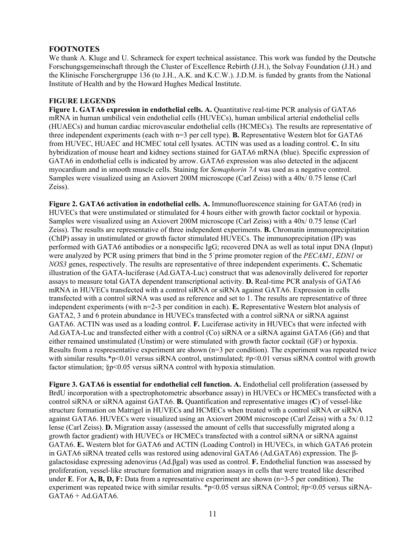# **FOOTNOTES**

We thank A. Kluge and U. Schrameck for expert technical assistance. This work was funded by the Deutsche Forschungsgemeinschaft through the Cluster of Excellence Rebirth (J.H.), the Solvay Foundation (J.H.) and the Klinische Forschergruppe 136 (to J.H., A.K. and K.C.W.). J.D.M. is funded by grants from the National Institute of Health and by the Howard Hughes Medical Institute.

## **FIGURE LEGENDS**

**Figure 1. GATA6 expression in endothelial cells. A.** Quantitative real-time PCR analysis of GATA6 mRNA in human umbilical vein endothelial cells (HUVECs), human umbilical arterial endothelial cells (HUAECs) and human cardiac microvascular endothelial cells (HCMECs). The results are representative of three independent experiments (each with n=3 per cell type). **B.** Representative Western blot for GATA6 from HUVEC, HUAEC and HCMEC total cell lysates. ACTIN was used as a loading control. **C.** In situ hybridization of mouse heart and kidney sections stained for GATA6 mRNA (blue). Specific expression of GATA6 in endothelial cells is indicated by arrow. GATA6 expression was also detected in the adjacent myocardium and in smooth muscle cells. Staining for *Semaphorin 7A* was used as a negative control. Samples were visualized using an Axiovert 200M microscope (Carl Zeiss) with a 40x/ 0.75 lense (Carl Zeiss).

**Figure 2. GATA6 activation in endothelial cells. A.** Immunofluorescence staining for GATA6 (red) in HUVECs that were unstimulated or stimulated for 4 hours either with growth factor cocktail or hypoxia. Samples were visualized using an Axiovert 200M microscope (Carl Zeiss) with a 40x/ 0.75 lense (Carl Zeiss). The results are representative of three independent experiments. **B.** Chromatin immunoprecipitation (ChIP) assay in unstimulated or growth factor stimulated HUVECs. The immunoprecipitation (IP) was performed with GATA6 antibodies or a nonspecific IgG; recovered DNA as well as total input DNA (Input) were analyzed by PCR using primers that bind in the 5´prime promoter region of the *PECAM1*, *EDN1* or *NOS3* genes, respectively. The results are representative of three independent experiments. **C.** Schematic illustration of the GATA-luciferase (Ad.GATA-Luc) construct that was adenovirally delivered for reporter assays to measure total GATA dependent transcriptional activity. **D.** Real-time PCR analysis of GATA6 mRNA in HUVECs transfected with a control siRNA or siRNA against GATA6. Expression in cells transfected with a control siRNA was used as reference and set to 1. The results are representative of three independent experiments (with n=2-3 per condition in each). **E.** Representative Western blot analysis of GATA2, 3 and 6 protein abundance in HUVECs transfected with a control siRNA or siRNA against GATA6. ACTIN was used as a loading control. **F.** Luciferase activity in HUVECs that were infected with Ad.GATA-Luc and transfected either with a control (Co) siRNA or a siRNA against GATA6 (G6) and that either remained unstimulated (Unstim) or were stimulated with growth factor cocktail (GF) or hypoxia. Results from a respresentative experiment are shown  $(n=3$  per condition). The experiment was repeated twice with similar results.\*p<0.01 versus siRNA control, unstimulated; #p<0.01 versus siRNA control with growth factor stimulation;  $\wp$ <0.05 versus siRNA control with hypoxia stimulation.

**Figure 3. GATA6 is essential for endothelial cell function. A.** Endothelial cell proliferation (assessed by BrdU incorporation with a spectrophotometric absorbance assay) in HUVECs or HCMECs transfected with a control siRNA or siRNA against GATA6. **B.** Quantification and representative images (**C**) of vessel-like structure formation on Matrigel in HUVECs and HCMECs when treated with a control siRNA or siRNA against GATA6. HUVECs were visualized using an Axiovert 200M microscope (Carl Zeiss) with a 5x/ 0.12 lense (Carl Zeiss). **D.** Migration assay (assessed the amount of cells that successfully migrated along a growth factor gradient) with HUVECs or HCMECs transfected with a control siRNA or siRNA against GATA6. **E.** Western blot for GATA6 and ACTIN (Loading Control) in HUVECs, in which GATA6 protein in GATA6 siRNA treated cells was restored using adenoviral GATA6 (Ad.GATA6) expression. The βgalactosidase expressing adenovirus (Ad.βgal) was used as control. **F.** Endothelial function was assessed by proliferation, vessel-like structure formation and migration assays in cells that were treated like described under **E**. For **A, B, D, F:** Data from a representative experiment are shown (n=3-5 per condition). The experiment was repeated twice with similar results. \*p<0.05 versus siRNA Control; #p<0.05 versus siRNA-GATA6 + Ad.GATA6.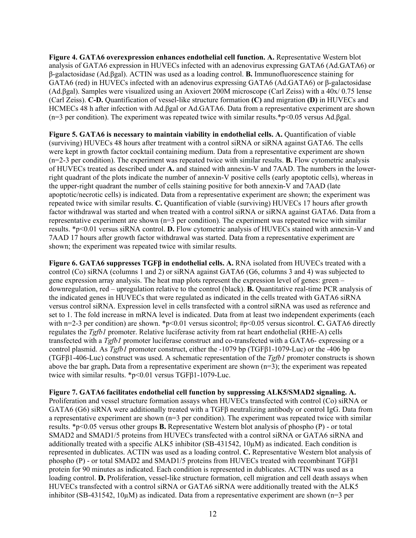**Figure 4. GATA6 overexpression enhances endothelial cell function. A.** Representative Western blot analysis of GATA6 expression in HUVECs infected with an adenovirus expressing GATA6 (Ad.GATA6) or β-galactosidase (Ad.βgal). ACTIN was used as a loading control. **B.** Immunofluorescence staining for GATA6 (red) in HUVECs infected with an adenovirus expressing GATA6 (Ad.GATA6) or β-galactosidase (Ad.βgal). Samples were visualized using an Axiovert 200M microscope (Carl Zeiss) with a 40x/ 0.75 lense (Carl Zeiss). **C-D.** Quantification of vessel-like structure formation **(C)** and migration **(D)** in HUVECs and HCMECs 48 h after infection with Ad.βgal or Ad.GATA6. Data from a representative experiment are shown (n=3 per condition). The experiment was repeated twice with similar results.\*p<0.05 versus Ad.βgal.

**Figure 5. GATA6 is necessary to maintain viability in endothelial cells. A.** Quantification of viable (surviving) HUVECs 48 hours after treatment with a control siRNA or siRNA against GATA6. The cells were kept in growth factor cocktail containing medium. Data from a representative experiment are shown (n=2-3 per condition). The experiment was repeated twice with similar results. **B.** Flow cytometric analysis of HUVECs treated as described under **A.** and stained with annexin-V and 7AAD. The numbers in the lowerright quadrant of the plots indicate the number of annexin-V positive cells (early apoptotic cells), whereas in the upper-right quadrant the number of cells staining positive for both annexin-V and 7AAD (late apoptotic/necrotic cells) is indicated. Data from a representative experiment are shown; the experiment was repeated twice with similar results. **C.** Quantification of viable (surviving) HUVECs 17 hours after growth factor withdrawal was started and when treated with a control siRNA or siRNA against GATA6. Data from a representative experiment are shown (n=3 per condition). The experiment was repeated twice with similar results. \*p<0.01 versus siRNA control. **D.** Flow cytometric analysis of HUVECs stained with annexin-V and 7AAD 17 hours after growth factor withdrawal was started. Data from a representative experiment are shown; the experiment was repeated twice with similar results.

**Figure 6. GATA6 suppresses TGFβ in endothelial cells. A.** RNA isolated from HUVECs treated with a control (Co) siRNA (columns 1 and 2) or siRNA against GATA6 (G6, columns 3 and 4) was subjected to gene expression array analysis. The heat map plots represent the expression level of genes: green – downregulation, red – upregulation relative to the control (black). **B.** Quantitative real-time PCR analysis of the indicated genes in HUVECs that were regulated as indicated in the cells treated with GATA6 siRNA versus control siRNA. Expression level in cells transfected with a control siRNA was used as reference and set to 1. The fold increase in mRNA level is indicated. Data from at least two independent experiments (each with n=2-3 per condition) are shown. \*p<0.01 versus sicontrol; #p<0.05 versus sicontrol. **C.** GATA6 directly regulates the *Tgfb1* promoter. Relative luciferase activity from rat heart endothelial (RHE-A) cells transfected with a *Tgfb1* promoter luciferase construct and co-transfected with a GATA6- expressing or a control plasmid. As *Tgfb1* promoter construct, either the -1079 bp (TGFβ1-1079-Luc) or the -406 bp (TGFβ1-406-Luc) construct was used. A schematic representation of the *Tgfb1* promoter constructs is shown above the bar graph**.** Data from a representative experiment are shown (n=3); the experiment was repeated twice with similar results. \*p<0.01 versus TGFβ1-1079-Luc.

**Figure 7. GATA6 facilitates endothelial cell function by suppressing ALK5/SMAD2 signaling. A.** Proliferation and vessel structure formation assays when HUVECs transfected with control (Co) siRNA or GATA6 (G6) siRNA were additionally treated with a TGFβ neutralizing antibody or control IgG. Data from a representative experiment are shown  $(n=3$  per condition). The experiment was repeated twice with similar results. \*p<0.05 versus other groups **B.** Representative Western blot analysis of phospho (P) - or total SMAD2 and SMAD1/5 proteins from HUVECs transfected with a control siRNA or GATA6 siRNA and additionally treated with a specific ALK5 inhibitor (SB-431542, 10µM) as indicated. Each condition is represented in dublicates. ACTIN was used as a loading control. **C.** Representative Western blot analysis of phospho (P) - or total SMAD2 and SMAD1/5 proteins from HUVECs treated with recombinant TGFβ1 protein for 90 minutes as indicated. Each condition is represented in dublicates. ACTIN was used as a loading control. **D.** Proliferation, vessel-like structure formation, cell migration and cell death assays when HUVECs transfected with a control siRNA or GATA6 siRNA were additionally treated with the ALK5 inhibitor (SB-431542, 10 $\mu$ M) as indicated. Data from a representative experiment are shown (n=3 per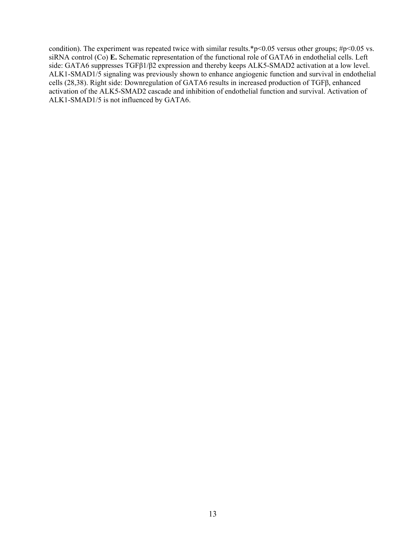condition). The experiment was repeated twice with similar results.\*p<0.05 versus other groups;  $\#p$ <0.05 vs. siRNA control (Co) **E.** Schematic representation of the functional role of GATA6 in endothelial cells. Left side: GATA6 suppresses TGFβ1/β2 expression and thereby keeps ALK5-SMAD2 activation at a low level. ALK1-SMAD1/5 signaling was previously shown to enhance angiogenic function and survival in endothelial cells (28,38). Right side: Downregulation of GATA6 results in increased production of TGFβ, enhanced activation of the ALK5-SMAD2 cascade and inhibition of endothelial function and survival. Activation of ALK1-SMAD1/5 is not influenced by GATA6.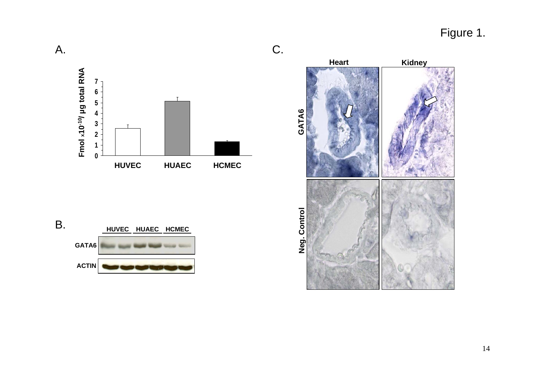Figure 1.





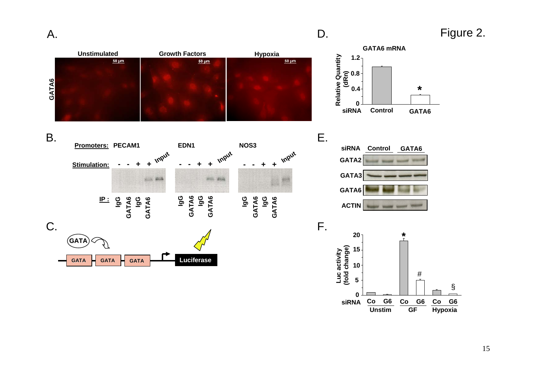

**Unstim**

**GF Hypoxia**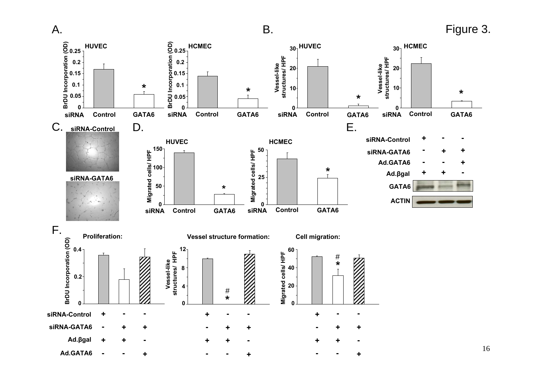A.

# B. Figure 3.

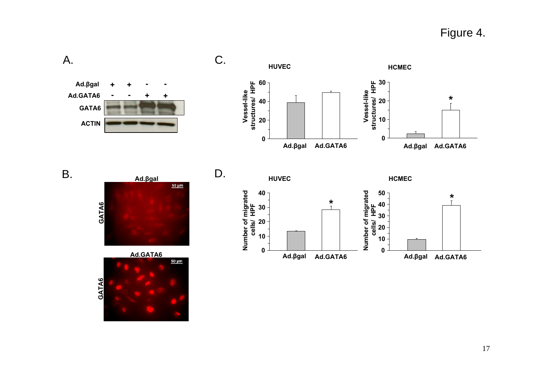Figure 4.



A.







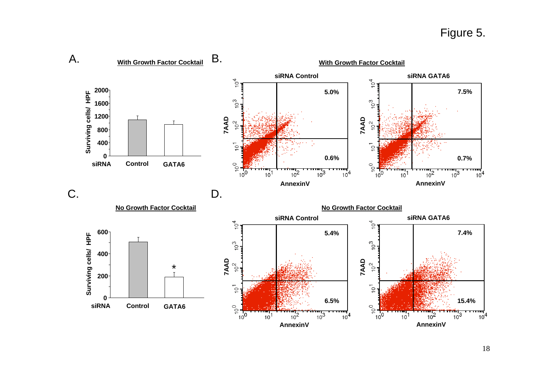# Figure 5.

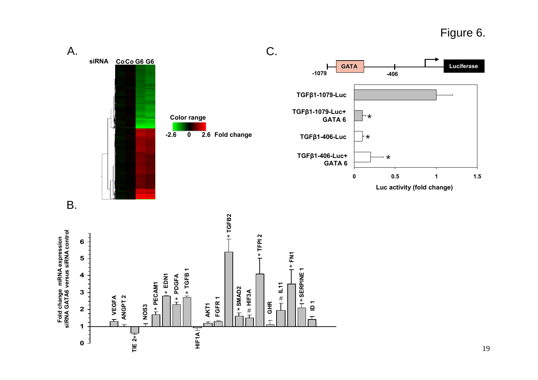Figure 6.



**Fold change mRNA expression**